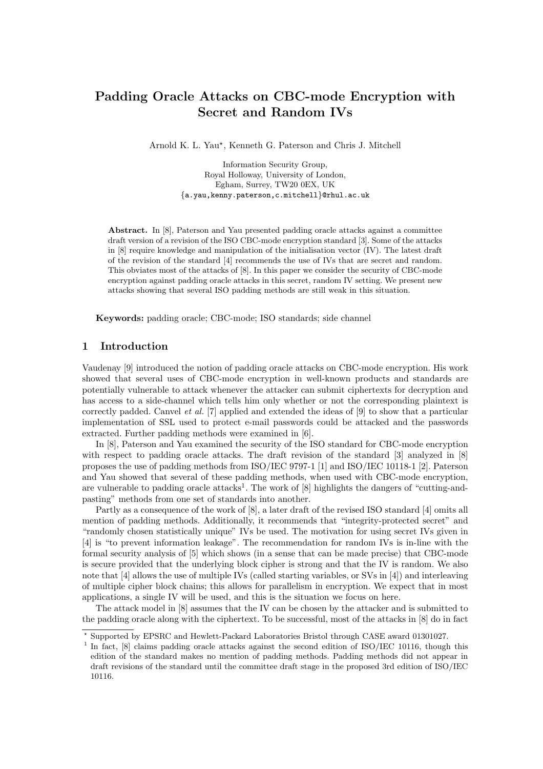# Padding Oracle Attacks on CBC-mode Encryption with Secret and Random IVs

Arnold K. L. Yau? , Kenneth G. Paterson and Chris J. Mitchell

Information Security Group, Royal Holloway, University of London, Egham, Surrey, TW20 0EX, UK {a.yau,kenny.paterson,c.mitchell}@rhul.ac.uk

Abstract. In [8], Paterson and Yau presented padding oracle attacks against a committee draft version of a revision of the ISO CBC-mode encryption standard [3]. Some of the attacks in [8] require knowledge and manipulation of the initialisation vector (IV). The latest draft of the revision of the standard [4] recommends the use of IVs that are secret and random. This obviates most of the attacks of [8]. In this paper we consider the security of CBC-mode encryption against padding oracle attacks in this secret, random IV setting. We present new attacks showing that several ISO padding methods are still weak in this situation.

Keywords: padding oracle; CBC-mode; ISO standards; side channel

# 1 Introduction

Vaudenay [9] introduced the notion of padding oracle attacks on CBC-mode encryption. His work showed that several uses of CBC-mode encryption in well-known products and standards are potentially vulnerable to attack whenever the attacker can submit ciphertexts for decryption and has access to a side-channel which tells him only whether or not the corresponding plaintext is correctly padded. Canvel et al. [7] applied and extended the ideas of [9] to show that a particular implementation of SSL used to protect e-mail passwords could be attacked and the passwords extracted. Further padding methods were examined in [6].

In [8], Paterson and Yau examined the security of the ISO standard for CBC-mode encryption with respect to padding oracle attacks. The draft revision of the standard [3] analyzed in [8] proposes the use of padding methods from ISO/IEC 9797-1 [1] and ISO/IEC 10118-1 [2]. Paterson and Yau showed that several of these padding methods, when used with CBC-mode encryption, are vulnerable to padding oracle attacks<sup>1</sup>. The work of  $[8]$  highlights the dangers of "cutting-andpasting" methods from one set of standards into another.

Partly as a consequence of the work of [8], a later draft of the revised ISO standard [4] omits all mention of padding methods. Additionally, it recommends that "integrity-protected secret" and "randomly chosen statistically unique" IVs be used. The motivation for using secret IVs given in [4] is "to prevent information leakage". The recommendation for random IVs is in-line with the formal security analysis of [5] which shows (in a sense that can be made precise) that CBC-mode is secure provided that the underlying block cipher is strong and that the IV is random. We also note that [4] allows the use of multiple IVs (called starting variables, or SVs in [4]) and interleaving of multiple cipher block chains; this allows for parallelism in encryption. We expect that in most applications, a single IV will be used, and this is the situation we focus on here.

The attack model in [8] assumes that the IV can be chosen by the attacker and is submitted to the padding oracle along with the ciphertext. To be successful, most of the attacks in [8] do in fact

<sup>?</sup> Supported by EPSRC and Hewlett-Packard Laboratories Bristol through CASE award 01301027.

<sup>&</sup>lt;sup>1</sup> In fact, [8] claims padding oracle attacks against the second edition of ISO/IEC 10116, though this edition of the standard makes no mention of padding methods. Padding methods did not appear in draft revisions of the standard until the committee draft stage in the proposed 3rd edition of ISO/IEC 10116.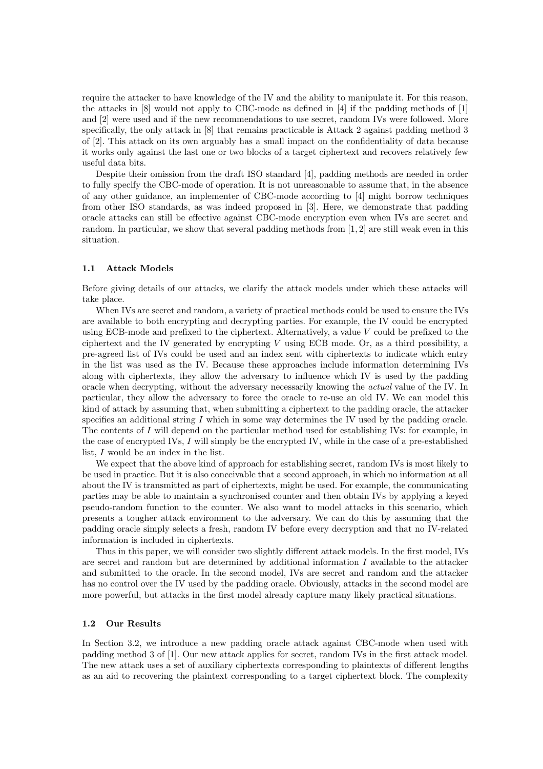require the attacker to have knowledge of the IV and the ability to manipulate it. For this reason, the attacks in [8] would not apply to CBC-mode as defined in [4] if the padding methods of [1] and [2] were used and if the new recommendations to use secret, random IVs were followed. More specifically, the only attack in [8] that remains practicable is Attack 2 against padding method 3 of [2]. This attack on its own arguably has a small impact on the confidentiality of data because it works only against the last one or two blocks of a target ciphertext and recovers relatively few useful data bits.

Despite their omission from the draft ISO standard [4], padding methods are needed in order to fully specify the CBC-mode of operation. It is not unreasonable to assume that, in the absence of any other guidance, an implementer of CBC-mode according to [4] might borrow techniques from other ISO standards, as was indeed proposed in [3]. Here, we demonstrate that padding oracle attacks can still be effective against CBC-mode encryption even when IVs are secret and random. In particular, we show that several padding methods from [1, 2] are still weak even in this situation.

#### 1.1 Attack Models

Before giving details of our attacks, we clarify the attack models under which these attacks will take place.

When IVs are secret and random, a variety of practical methods could be used to ensure the IVs are available to both encrypting and decrypting parties. For example, the IV could be encrypted using ECB-mode and prefixed to the ciphertext. Alternatively, a value V could be prefixed to the ciphertext and the IV generated by encrypting  $V$  using ECB mode. Or, as a third possibility, a pre-agreed list of IVs could be used and an index sent with ciphertexts to indicate which entry in the list was used as the IV. Because these approaches include information determining IVs along with ciphertexts, they allow the adversary to influence which IV is used by the padding oracle when decrypting, without the adversary necessarily knowing the actual value of the IV. In particular, they allow the adversary to force the oracle to re-use an old IV. We can model this kind of attack by assuming that, when submitting a ciphertext to the padding oracle, the attacker specifies an additional string  $I$  which in some way determines the IV used by the padding oracle. The contents of I will depend on the particular method used for establishing IVs: for example, in the case of encrypted IVs, I will simply be the encrypted IV, while in the case of a pre-established list, I would be an index in the list.

We expect that the above kind of approach for establishing secret, random IVs is most likely to be used in practice. But it is also conceivable that a second approach, in which no information at all about the IV is transmitted as part of ciphertexts, might be used. For example, the communicating parties may be able to maintain a synchronised counter and then obtain IVs by applying a keyed pseudo-random function to the counter. We also want to model attacks in this scenario, which presents a tougher attack environment to the adversary. We can do this by assuming that the padding oracle simply selects a fresh, random IV before every decryption and that no IV-related information is included in ciphertexts.

Thus in this paper, we will consider two slightly different attack models. In the first model, IVs are secret and random but are determined by additional information I available to the attacker and submitted to the oracle. In the second model, IVs are secret and random and the attacker has no control over the IV used by the padding oracle. Obviously, attacks in the second model are more powerful, but attacks in the first model already capture many likely practical situations.

# 1.2 Our Results

In Section 3.2, we introduce a new padding oracle attack against CBC-mode when used with padding method 3 of [1]. Our new attack applies for secret, random IVs in the first attack model. The new attack uses a set of auxiliary ciphertexts corresponding to plaintexts of different lengths as an aid to recovering the plaintext corresponding to a target ciphertext block. The complexity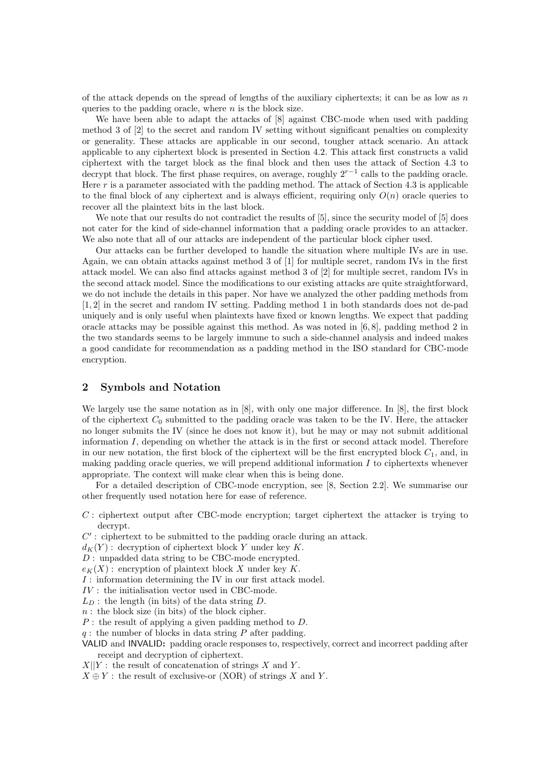of the attack depends on the spread of lengths of the auxiliary ciphertexts; it can be as low as  $n$ queries to the padding oracle, where  $n$  is the block size.

We have been able to adapt the attacks of [8] against CBC-mode when used with padding method 3 of [2] to the secret and random IV setting without significant penalties on complexity or generality. These attacks are applicable in our second, tougher attack scenario. An attack applicable to any ciphertext block is presented in Section 4.2. This attack first constructs a valid ciphertext with the target block as the final block and then uses the attack of Section 4.3 to decrypt that block. The first phase requires, on average, roughly  $2^{r-1}$  calls to the padding oracle. Here  $r$  is a parameter associated with the padding method. The attack of Section 4.3 is applicable to the final block of any ciphertext and is always efficient, requiring only  $O(n)$  oracle queries to recover all the plaintext bits in the last block.

We note that our results do not contradict the results of  $[5]$ , since the security model of  $[5]$  does not cater for the kind of side-channel information that a padding oracle provides to an attacker. We also note that all of our attacks are independent of the particular block cipher used.

Our attacks can be further developed to handle the situation where multiple IVs are in use. Again, we can obtain attacks against method 3 of [1] for multiple secret, random IVs in the first attack model. We can also find attacks against method 3 of [2] for multiple secret, random IVs in the second attack model. Since the modifications to our existing attacks are quite straightforward, we do not include the details in this paper. Nor have we analyzed the other padding methods from [1, 2] in the secret and random IV setting. Padding method 1 in both standards does not de-pad uniquely and is only useful when plaintexts have fixed or known lengths. We expect that padding oracle attacks may be possible against this method. As was noted in  $[6, 8]$ , padding method 2 in the two standards seems to be largely immune to such a side-channel analysis and indeed makes a good candidate for recommendation as a padding method in the ISO standard for CBC-mode encryption.

### 2 Symbols and Notation

We largely use the same notation as in [8], with only one major difference. In [8], the first block of the ciphertext  $C_0$  submitted to the padding oracle was taken to be the IV. Here, the attacker no longer submits the IV (since he does not know it), but he may or may not submit additional information  $I$ , depending on whether the attack is in the first or second attack model. Therefore in our new notation, the first block of the ciphertext will be the first encrypted block  $C_1$ , and, in making padding oracle queries, we will prepend additional information  $I$  to ciphertexts whenever appropriate. The context will make clear when this is being done.

For a detailed description of CBC-mode encryption, see [8, Section 2.2]. We summarise our other frequently used notation here for ease of reference.

C : ciphertext output after CBC-mode encryption; target ciphertext the attacker is trying to decrypt.

 $C'$ : ciphertext to be submitted to the padding oracle during an attack.

 $d_K(Y)$ : decryption of ciphertext block Y under key K.

D : unpadded data string to be CBC-mode encrypted.

 $e_K(X)$ : encryption of plaintext block X under key K.

I : information determining the IV in our first attack model.

 $\mathcal{IV}$  : the initialisation vector used in CBC-mode.

- $L_D$ : the length (in bits) of the data string D.
- $n:$  the block size (in bits) of the block cipher.

 $P$ : the result of applying a given padding method to  $D$ .

 $q$ : the number of blocks in data string  $P$  after padding.

- VALID and INVALID: padding oracle responses to, respectively, correct and incorrect padding after receipt and decryption of ciphertext.
- $X||Y:$  the result of concatenation of strings X and Y.

 $X \oplus Y$ : the result of exclusive-or  $(XOR)$  of strings X and Y.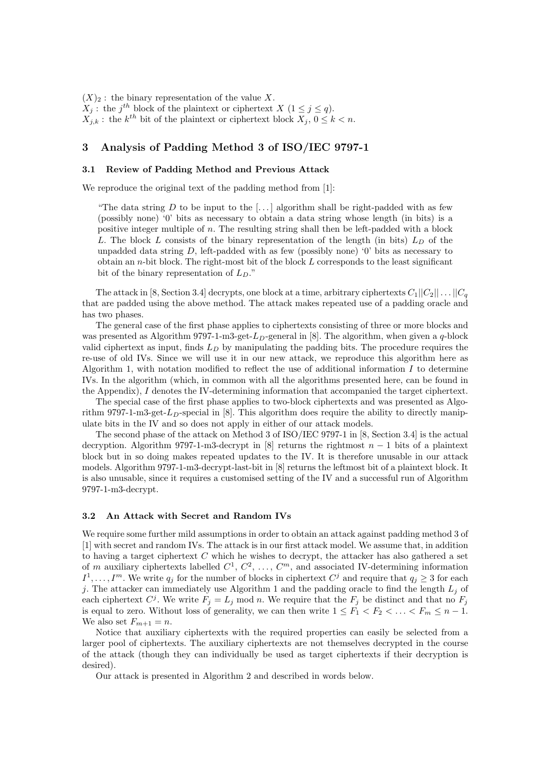$(X)_2$ : the binary representation of the value X.  $X_j$ : the  $j^{th}$  block of the plaintext or ciphertext  $X$   $(1 \leq j \leq q)$ .  $X_{j,k}$ : the  $k^{th}$  bit of the plaintext or ciphertext block  $X_j$ ,  $0 \leq k < n$ .

### 3 Analysis of Padding Method 3 of ISO/IEC 9797-1

#### 3.1 Review of Padding Method and Previous Attack

We reproduce the original text of the padding method from [1]:

"The data string D to be input to the [...] algorithm shall be right-padded with as few (possibly none) '0' bits as necessary to obtain a data string whose length (in bits) is a positive integer multiple of n. The resulting string shall then be left-padded with a block L. The block L consists of the binary representation of the length (in bits)  $L_D$  of the unpadded data string  $D$ , left-padded with as few (possibly none) '0' bits as necessary to obtain an n-bit block. The right-most bit of the block  $L$  corresponds to the least significant bit of the binary representation of  $L_D$ ."

The attack in [8, Section 3.4] decrypts, one block at a time, arbitrary ciphertexts  $C_1||C_2||\ldots||C_q$ that are padded using the above method. The attack makes repeated use of a padding oracle and has two phases.

The general case of the first phase applies to ciphertexts consisting of three or more blocks and was presented as Algorithm 9797-1-m3-get- $L<sub>D</sub>$ -general in [8]. The algorithm, when given a q-block valid ciphertext as input, finds  $L<sub>D</sub>$  by manipulating the padding bits. The procedure requires the re-use of old IVs. Since we will use it in our new attack, we reproduce this algorithm here as Algorithm 1, with notation modified to reflect the use of additional information  $I$  to determine IVs. In the algorithm (which, in common with all the algorithms presented here, can be found in the Appendix), I denotes the IV-determining information that accompanied the target ciphertext.

The special case of the first phase applies to two-block ciphertexts and was presented as Algorithm 9797-1-m3-get- $L<sub>D</sub>$ -special in [8]. This algorithm does require the ability to directly manipulate bits in the IV and so does not apply in either of our attack models.

The second phase of the attack on Method 3 of ISO/IEC 9797-1 in [8, Section 3.4] is the actual decryption. Algorithm 9797-1-m3-decrypt in [8] returns the rightmost  $n-1$  bits of a plaintext block but in so doing makes repeated updates to the IV. It is therefore unusable in our attack models. Algorithm 9797-1-m3-decrypt-last-bit in [8] returns the leftmost bit of a plaintext block. It is also unusable, since it requires a customised setting of the IV and a successful run of Algorithm 9797-1-m3-decrypt.

#### 3.2 An Attack with Secret and Random IVs

We require some further mild assumptions in order to obtain an attack against padding method 3 of [1] with secret and random IVs. The attack is in our first attack model. We assume that, in addition to having a target ciphertext  $C$  which he wishes to decrypt, the attacker has also gathered a set of m auxiliary ciphertexts labelled  $C^1, C^2, \ldots, C^m$ , and associated IV-determining information  $I^1, \ldots, I^m$ . We write  $q_j$  for the number of blocks in ciphertext  $C^j$  and require that  $q_j \geq 3$  for each j. The attacker can immediately use Algorithm 1 and the padding oracle to find the length  $L_i$  of each ciphertext  $C^j$ . We write  $F_j = L_j \text{ mod } n$ . We require that the  $F_j$  be distinct and that no  $F_j$ is equal to zero. Without loss of generality, we can then write  $1 \leq \tilde{F_1} < F_2 < \ldots < F_m \leq n-1$ . We also set  $F_{m+1} = n$ .

Notice that auxiliary ciphertexts with the required properties can easily be selected from a larger pool of ciphertexts. The auxiliary ciphertexts are not themselves decrypted in the course of the attack (though they can individually be used as target ciphertexts if their decryption is desired).

Our attack is presented in Algorithm 2 and described in words below.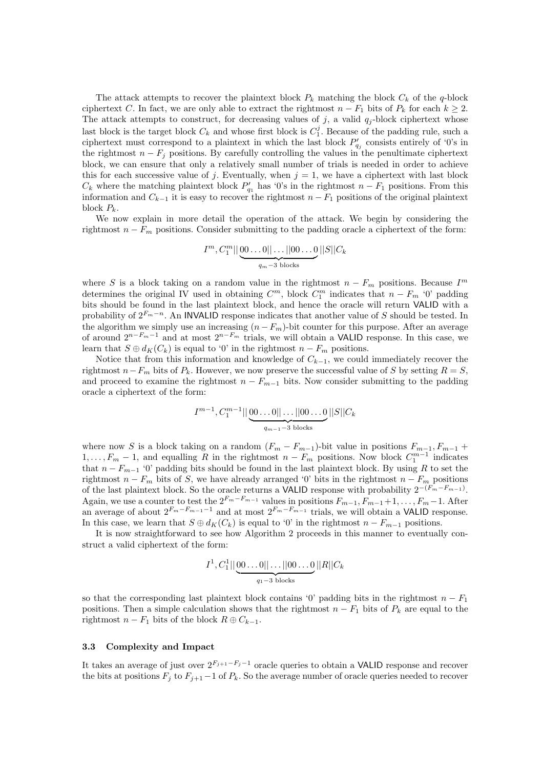The attack attempts to recover the plaintext block  $P_k$  matching the block  $C_k$  of the q-block ciphertext C. In fact, we are only able to extract the rightmost  $n - F_1$  bits of  $P_k$  for each  $k \geq 2$ . The attack attempts to construct, for decreasing values of j, a valid  $q_j$ -block ciphertext whose last block is the target block  $C_k$  and whose first block is  $C_1^j$ . Because of the padding rule, such a ciphertext must correspond to a plaintext in which the last block  $P'_{q_j}$  consists entirely of '0's in the rightmost  $n - F_j$  positions. By carefully controlling the values in the penultimate ciphertext block, we can ensure that only a relatively small number of trials is needed in order to achieve this for each successive value of j. Eventually, when  $j = 1$ , we have a ciphertext with last block  $C_k$  where the matching plaintext block  $P'_{q_1}$  has '0's in the rightmost  $n-F_1$  positions. From this information and  $C_{k-1}$  it is easy to recover the rightmost  $n-F_1$  positions of the original plaintext block  $P_k$ .

We now explain in more detail the operation of the attack. We begin by considering the rightmost  $n - F_m$  positions. Consider submitting to the padding oracle a ciphertext of the form:

$$
I^m, C_1^m || \underbrace{00\ldots 0 || \ldots ||00\ldots 0}_{q_m-3 \text{ blocks}} ||S|| C_k
$$

where S is a block taking on a random value in the rightmost  $n - F_m$  positions. Because  $I^m$ determines the original IV used in obtaining  $C^m$ , block  $C_1^m$  indicates that  $n - F_m$  '0' padding bits should be found in the last plaintext block, and hence the oracle will return VALID with a probability of  $2^{F_m-n}$ . An INVALID response indicates that another value of S should be tested. In the algorithm we simply use an increasing  $(n - F_m)$ -bit counter for this purpose. After an average of around  $2^{n-F_m-1}$  and at most  $2^{n-F_m}$  trials, we will obtain a VALID response. In this case, we learn that  $S \oplus d_K(C_k)$  is equal to '0' in the rightmost  $n - F_m$  positions.

Notice that from this information and knowledge of  $C_{k-1}$ , we could immediately recover the rightmost  $n-F_m$  bits of  $P_k$ . However, we now preserve the successful value of S by setting  $R = S$ , and proceed to examine the rightmost  $n - F_{m-1}$  bits. Now consider submitting to the padding oracle a ciphertext of the form:

$$
I^{m-1}, C_1^{m-1} || \underbrace{00 \dots 0 || \dots || 00 \dots 0}_{q_{m-1}-3 \text{ blocks}} ||S|| C_k
$$

where now S is a block taking on a random  $(F_m - F_{m-1})$ -bit value in positions  $F_{m-1}, F_{m-1}$  +  $1, \ldots, F_m - 1$ , and equalling R in the rightmost  $n - F_m$  positions. Now block  $C_1^{m-1}$  indicates that  $n - F_{m-1}$  '0' padding bits should be found in the last plaintext block. By using R to set the rightmost  $n - F_m$  bits of S, we have already arranged '0' bits in the rightmost  $n - F_m$  positions of the last plaintext block. So the oracle returns a VALID response with probability  $2^{-(F_m-F_{m-1})}$ . Again, we use a counter to test the  $2^{F_m-F_{m-1}}$  values in positions  $F_{m-1}, F_{m-1}+1, \ldots, F_m-1$ . After an average of about  $2^{F_m-F_{m-1}-1}$  and at most  $2^{F_m-F_{m-1}}$  trials, we will obtain a VALID response. In this case, we learn that  $S \oplus d_K(C_k)$  is equal to '0' in the rightmost  $n - F_{m-1}$  positions.

It is now straightforward to see how Algorithm 2 proceeds in this manner to eventually construct a valid ciphertext of the form:

$$
I^1, C_1^1 || \underbrace{00...0||...||00...0}_{q_1-3 \text{ blocks}} ||R||C_k
$$

so that the corresponding last plaintext block contains '0' padding bits in the rightmost  $n - F_1$ positions. Then a simple calculation shows that the rightmost  $n - F_1$  bits of  $P_k$  are equal to the rightmost  $n - F_1$  bits of the block  $R \oplus C_{k-1}$ .

#### 3.3 Complexity and Impact

It takes an average of just over  $2^{F_{j+1}-F_j-1}$  oracle queries to obtain a VALID response and recover the bits at positions  $F_i$  to  $F_{i+1}-1$  of  $P_k$ . So the average number of oracle queries needed to recover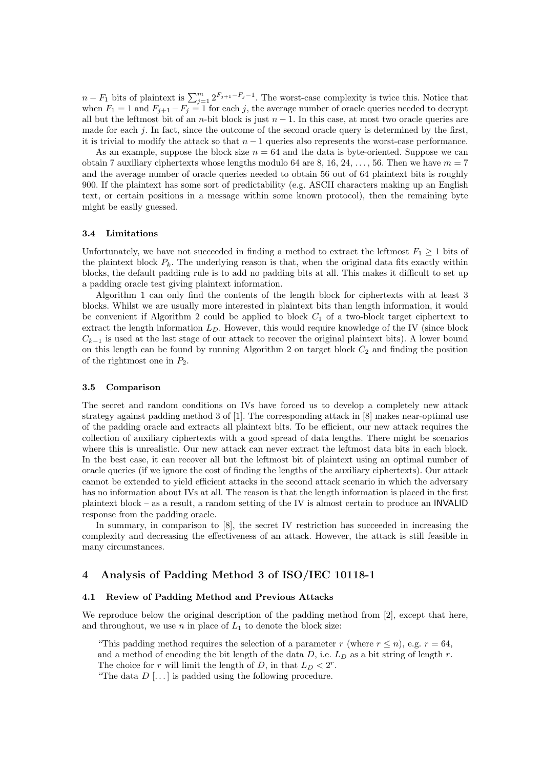$n - F_1$  bits of plaintext is  $\sum_{j=1}^{m} 2^{F_{j+1} - F_j - 1}$ . The worst-case complexity is twice this. Notice that when  $F_1 = 1$  and  $F_{j+1} - F_j = 1$  for each j, the average number of oracle queries needed to decrypt all but the leftmost bit of an n-bit block is just  $n-1$ . In this case, at most two oracle queries are made for each j. In fact, since the outcome of the second oracle query is determined by the first, it is trivial to modify the attack so that  $n - 1$  queries also represents the worst-case performance.

As an example, suppose the block size  $n = 64$  and the data is byte-oriented. Suppose we can obtain 7 auxiliary ciphertexts whose lengths modulo 64 are 8, 16, 24, ..., 56. Then we have  $m = 7$ and the average number of oracle queries needed to obtain 56 out of 64 plaintext bits is roughly 900. If the plaintext has some sort of predictability (e.g. ASCII characters making up an English text, or certain positions in a message within some known protocol), then the remaining byte might be easily guessed.

#### 3.4 Limitations

Unfortunately, we have not succeeded in finding a method to extract the leftmost  $F_1 \geq 1$  bits of the plaintext block  $P_k$ . The underlying reason is that, when the original data fits exactly within blocks, the default padding rule is to add no padding bits at all. This makes it difficult to set up a padding oracle test giving plaintext information.

Algorithm 1 can only find the contents of the length block for ciphertexts with at least 3 blocks. Whilst we are usually more interested in plaintext bits than length information, it would be convenient if Algorithm 2 could be applied to block  $C_1$  of a two-block target ciphertext to extract the length information  $L<sub>D</sub>$ . However, this would require knowledge of the IV (since block  $C_{k-1}$  is used at the last stage of our attack to recover the original plaintext bits). A lower bound on this length can be found by running Algorithm 2 on target block  $C_2$  and finding the position of the rightmost one in  $P_2$ .

#### 3.5 Comparison

The secret and random conditions on IVs have forced us to develop a completely new attack strategy against padding method 3 of [1]. The corresponding attack in [8] makes near-optimal use of the padding oracle and extracts all plaintext bits. To be efficient, our new attack requires the collection of auxiliary ciphertexts with a good spread of data lengths. There might be scenarios where this is unrealistic. Our new attack can never extract the leftmost data bits in each block. In the best case, it can recover all but the leftmost bit of plaintext using an optimal number of oracle queries (if we ignore the cost of finding the lengths of the auxiliary ciphertexts). Our attack cannot be extended to yield efficient attacks in the second attack scenario in which the adversary has no information about IVs at all. The reason is that the length information is placed in the first plaintext block – as a result, a random setting of the IV is almost certain to produce an INVALID response from the padding oracle.

In summary, in comparison to [8], the secret IV restriction has succeeded in increasing the complexity and decreasing the effectiveness of an attack. However, the attack is still feasible in many circumstances.

# 4 Analysis of Padding Method 3 of ISO/IEC 10118-1

#### 4.1 Review of Padding Method and Previous Attacks

We reproduce below the original description of the padding method from [2], except that here, and throughout, we use n in place of  $L_1$  to denote the block size:

"This padding method requires the selection of a parameter r (where  $r \leq n$ ), e.g.  $r = 64$ , and a method of encoding the bit length of the data  $D$ , i.e.  $L_D$  as a bit string of length r. The choice for r will limit the length of D, in that  $L_D < 2^r$ .

"The data  $D$ [...] is padded using the following procedure.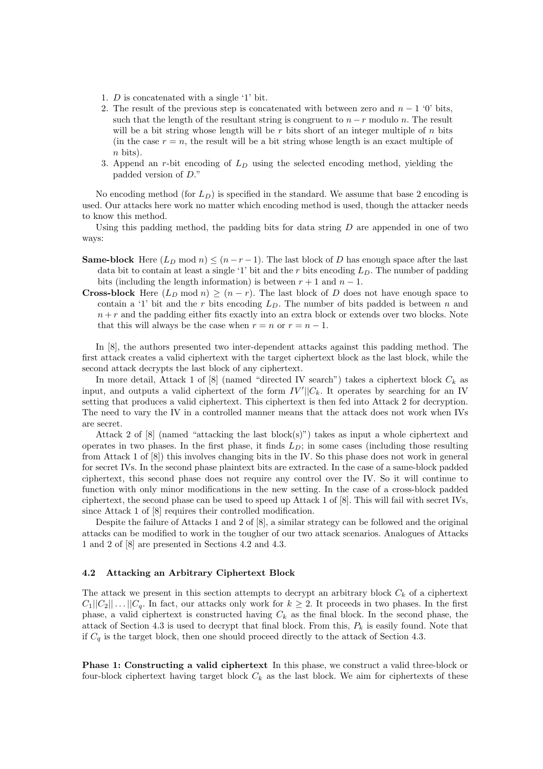- 1. D is concatenated with a single '1' bit.
- 2. The result of the previous step is concatenated with between zero and  $n-1$  '0' bits, such that the length of the resultant string is congruent to  $n-r$  modulo n. The result will be a bit string whose length will be  $r$  bits short of an integer multiple of  $n$  bits (in the case  $r = n$ , the result will be a bit string whose length is an exact multiple of  $n$  bits).
- 3. Append an r-bit encoding of  $L<sub>D</sub>$  using the selected encoding method, yielding the padded version of D."

No encoding method (for  $L_D$ ) is specified in the standard. We assume that base 2 encoding is used. Our attacks here work no matter which encoding method is used, though the attacker needs to know this method.

Using this padding method, the padding bits for data string  $D$  are appended in one of two ways:

- **Same-block** Here  $(L_D \mod n) \leq (n-r-1)$ . The last block of D has enough space after the last data bit to contain at least a single '1' bit and the r bits encoding  $L<sub>D</sub>$ . The number of padding bits (including the length information) is between  $r + 1$  and  $n - 1$ .
- **Cross-block** Here  $(L_D \mod n) \ge (n-r)$ . The last block of D does not have enough space to contain a '1' bit and the r bits encoding  $L<sub>D</sub>$ . The number of bits padded is between n and  $n + r$  and the padding either fits exactly into an extra block or extends over two blocks. Note that this will always be the case when  $r = n$  or  $r = n - 1$ .

In [8], the authors presented two inter-dependent attacks against this padding method. The first attack creates a valid ciphertext with the target ciphertext block as the last block, while the second attack decrypts the last block of any ciphertext.

In more detail, Attack 1 of [8] (named "directed IV search") takes a ciphertext block  $C_k$  as input, and outputs a valid ciphertext of the form  $IV'||C_k$ . It operates by searching for an IV setting that produces a valid ciphertext. This ciphertext is then fed into Attack 2 for decryption. The need to vary the IV in a controlled manner means that the attack does not work when IVs are secret.

Attack 2 of  $[8]$  (named "attacking the last block $(s)$ ") takes as input a whole ciphertext and operates in two phases. In the first phase, it finds  $L<sub>D</sub>$ ; in some cases (including those resulting from Attack 1 of [8]) this involves changing bits in the IV. So this phase does not work in general for secret IVs. In the second phase plaintext bits are extracted. In the case of a same-block padded ciphertext, this second phase does not require any control over the IV. So it will continue to function with only minor modifications in the new setting. In the case of a cross-block padded ciphertext, the second phase can be used to speed up Attack 1 of [8]. This will fail with secret IVs, since Attack 1 of [8] requires their controlled modification.

Despite the failure of Attacks 1 and 2 of [8], a similar strategy can be followed and the original attacks can be modified to work in the tougher of our two attack scenarios. Analogues of Attacks 1 and 2 of [8] are presented in Sections 4.2 and 4.3.

#### 4.2 Attacking an Arbitrary Ciphertext Block

The attack we present in this section attempts to decrypt an arbitrary block  $C_k$  of a ciphertext  $C_1||C_2|| \dots ||C_q$ . In fact, our attacks only work for  $k \geq 2$ . It proceeds in two phases. In the first phase, a valid ciphertext is constructed having  $C_k$  as the final block. In the second phase, the attack of Section 4.3 is used to decrypt that final block. From this,  $P_k$  is easily found. Note that if  $C_q$  is the target block, then one should proceed directly to the attack of Section 4.3.

Phase 1: Constructing a valid ciphertext In this phase, we construct a valid three-block or four-block ciphertext having target block  $C_k$  as the last block. We aim for ciphertexts of these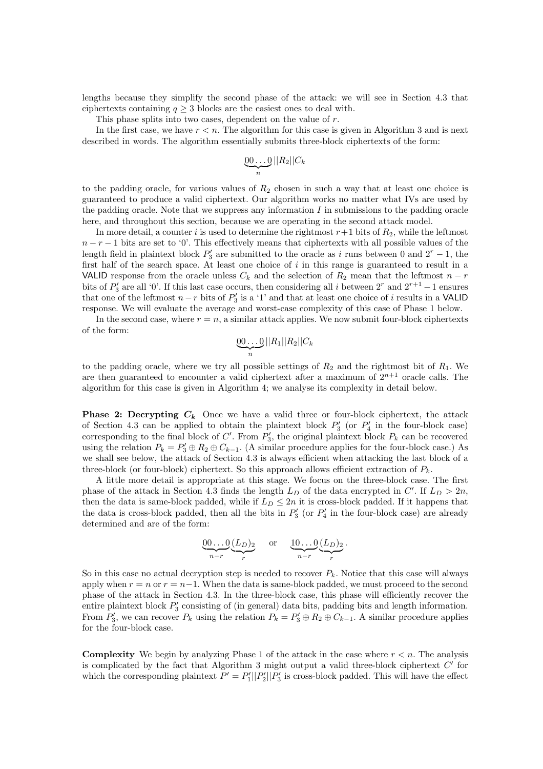lengths because they simplify the second phase of the attack: we will see in Section 4.3 that ciphertexts containing  $q \geq 3$  blocks are the easiest ones to deal with.

This phase splits into two cases, dependent on the value of r.

In the first case, we have  $r < n$ . The algorithm for this case is given in Algorithm 3 and is next described in words. The algorithm essentially submits three-block ciphertexts of the form:

$$
\underbrace{00\ldots0}_{n}||R_2||C_k
$$

to the padding oracle, for various values of  $R_2$  chosen in such a way that at least one choice is guaranteed to produce a valid ciphertext. Our algorithm works no matter what IVs are used by the padding oracle. Note that we suppress any information  $I$  in submissions to the padding oracle here, and throughout this section, because we are operating in the second attack model.

In more detail, a counter i is used to determine the rightmost  $r+1$  bits of  $R_2$ , while the leftmost  $n - r - 1$  bits are set to '0'. This effectively means that ciphertexts with all possible values of the length field in plaintext block  $P'_3$  are submitted to the oracle as i runs between 0 and  $2^r - 1$ , the first half of the search space. At least one choice of  $i$  in this range is guaranteed to result in a VALID response from the oracle unless  $C_k$  and the selection of  $R_2$  mean that the leftmost  $n-r$ bits of  $P'_3$  are all '0'. If this last case occurs, then considering all i between  $2^r$  and  $2^{r+1} - 1$  ensures that one of the leftmost  $n-r$  bits of  $P'_3$  is a '1' and that at least one choice of i results in a VALID response. We will evaluate the average and worst-case complexity of this case of Phase 1 below.

In the second case, where  $r = n$ , a similar attack applies. We now submit four-block ciphertexts of the form:

$$
\underbrace{00\ldots 0}_{n}||R_1||R_2||C_k
$$

to the padding oracle, where we try all possible settings of  $R_2$  and the rightmost bit of  $R_1$ . We are then guaranteed to encounter a valid ciphertext after a maximum of  $2^{n+1}$  oracle calls. The algorithm for this case is given in Algorithm 4; we analyse its complexity in detail below.

**Phase 2: Decrypting**  $C_k$  Once we have a valid three or four-block ciphertext, the attack of Section 4.3 can be applied to obtain the plaintext block  $P'_3$  (or  $P'_4$  in the four-block case) corresponding to the final block of  $C'$ . From  $P'_3$ , the original plaintext block  $P_k$  can be recovered using the relation  $P_k = P'_3 \oplus R_2 \oplus C_{k-1}$ . (A similar procedure applies for the four-block case.) As we shall see below, the attack of Section 4.3 is always efficient when attacking the last block of a three-block (or four-block) ciphertext. So this approach allows efficient extraction of  $P_k$ .

A little more detail is appropriate at this stage. We focus on the three-block case. The first phase of the attack in Section 4.3 finds the length  $L_D$  of the data encrypted in C'. If  $L_D > 2n$ , then the data is same-block padded, while if  $L_D \leq 2n$  it is cross-block padded. If it happens that the data is cross-block padded, then all the bits in  $P'_3$  (or  $P'_4$  in the four-block case) are already determined and are of the form:

$$
\underbrace{00\ldots 0}_{n-r}\underbrace{(L_D)_2}_{r} \quad \text{or} \quad \underbrace{10\ldots 0}_{n-r}\underbrace{(L_D)_2}_{r}.
$$

So in this case no actual decryption step is needed to recover  $P_k$ . Notice that this case will always apply when  $r = n$  or  $r = n-1$ . When the data is same-block padded, we must proceed to the second phase of the attack in Section 4.3. In the three-block case, this phase will efficiently recover the entire plaintext block  $P'_3$  consisting of (in general) data bits, padding bits and length information. From  $P'_3$ , we can recover  $P_k$  using the relation  $P_k = P'_3 \oplus R_2 \oplus C_{k-1}$ . A similar procedure applies for the four-block case.

**Complexity** We begin by analyzing Phase 1 of the attack in the case where  $r < n$ . The analysis is complicated by the fact that Algorithm 3 might output a valid three-block ciphertext  $C'$  for which the corresponding plaintext  $P' = P_1'||P_2'||P_3'$  is cross-block padded. This will have the effect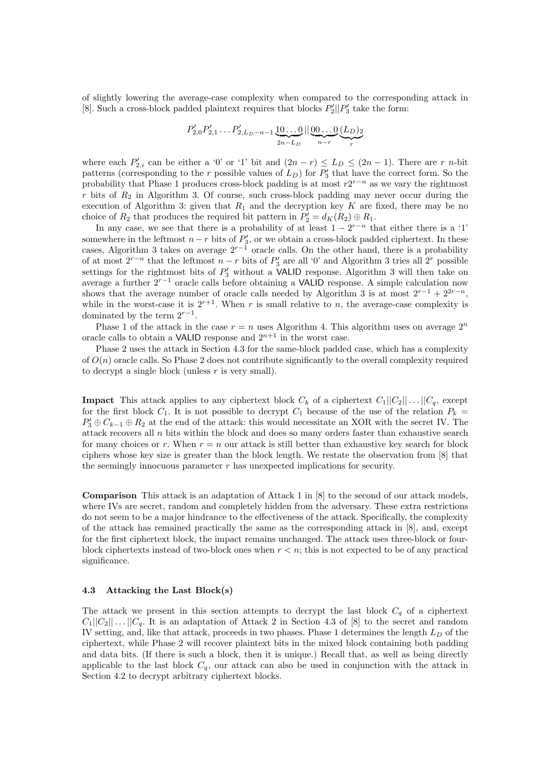of slightly lowering the average-case complexity when compared to the corresponding attack in [8]. Such a cross-block padded plaintext requires that blocks  $P'_2||P'_3$  take the form:

$$
P'_{2,0}P'_{2,1}\ldots P'_{2,L_D-n-1}\underbrace{10\ldots0}_{2n-L_D}||\underbrace{00\ldots0}_{n-r}\underbrace{(L_D)_2}_{r}
$$

where each  $P'_{2,i}$  can be either a '0' or '1' bit and  $(2n - r) \leq L_D \leq (2n - 1)$ . There are r n-bit patterns (corresponding to the r possible values of  $L_D$ ) for  $P'_3$  that have the correct form. So the probability that Phase 1 produces cross-block padding is at most  $r2^{r-n}$  as we vary the rightmost r bits of  $R_2$  in Algorithm 3. Of course, such cross-block padding may never occur during the execution of Algorithm 3: given that  $R_1$  and the decryption key K are fixed, there may be no choice of  $R_2$  that produces the required bit pattern in  $P'_2 = d_K(R_2) \oplus R_1$ .

In any case, we see that there is a probability of at least  $1 - 2^{r-n}$  that either there is a '1' somewhere in the leftmost  $n-r$  bits of  $P'_3$ , or we obtain a cross-block padded ciphertext. In these cases, Algorithm 3 takes on average  $2^{r-1}$  oracle calls. On the other hand, there is a probability of at most  $2^{r-n}$  that the leftmost  $n-r$  bits of  $P'_3$  are all '0' and Algorithm 3 tries all  $2^r$  possible settings for the rightmost bits of  $P'_3$  without a VALID response. Algorithm 3 will then take on average a further 2<sup>r</sup>−<sup>1</sup> oracle calls before obtaining a VALID response. A simple calculation now shows that the average number of oracle calls needed by Algorithm 3 is at most  $2^{r-1} + 2^{2r-n}$ , while in the worst-case it is  $2^{r+1}$ . When r is small relative to n, the average-case complexity is dominated by the term  $2^{r-1}$ .

Phase 1 of the attack in the case  $r = n$  uses Algorithm 4. This algorithm uses on average  $2^n$ oracle calls to obtain a VALID response and  $2^{n+1}$  in the worst case.

Phase 2 uses the attack in Section 4.3 for the same-block padded case, which has a complexity of  $O(n)$  oracle calls. So Phase 2 does not contribute significantly to the overall complexity required to decrypt a single block (unless  $r$  is very small).

**Impact** This attack applies to any ciphertext block  $C_k$  of a ciphertext  $C_1||C_2|| \dots ||C_q$ , except for the first block  $C_1$ . It is not possible to decrypt  $C_1$  because of the use of the relation  $P_k =$  $P'_3 \oplus C_{k-1} \oplus R_2$  at the end of the attack: this would necessitate an XOR with the secret IV. The attack recovers all  $n$  bits within the block and does so many orders faster than exhaustive search for many choices or r. When  $r = n$  our attack is still better than exhaustive key search for block ciphers whose key size is greater than the block length. We restate the observation from [8] that the seemingly innocuous parameter r has unexpected implications for security.

Comparison This attack is an adaptation of Attack 1 in [8] to the second of our attack models, where IVs are secret, random and completely hidden from the adversary. These extra restrictions do not seem to be a major hindrance to the effectiveness of the attack. Specifically, the complexity of the attack has remained practically the same as the corresponding attack in [8], and, except for the first ciphertext block, the impact remains unchanged. The attack uses three-block or fourblock ciphertexts instead of two-block ones when  $r < n$ ; this is not expected to be of any practical significance.

#### 4.3 Attacking the Last Block(s)

The attack we present in this section attempts to decrypt the last block  $C_q$  of a ciphertext  $C_1||C_2|| \dots ||C_q$ . It is an adaptation of Attack 2 in Section 4.3 of [8] to the secret and random IV setting, and, like that attack, proceeds in two phases. Phase 1 determines the length  $L_D$  of the ciphertext, while Phase 2 will recover plaintext bits in the mixed block containing both padding and data bits. (If there is such a block, then it is unique.) Recall that, as well as being directly applicable to the last block  $C_q$ , our attack can also be used in conjunction with the attack in Section 4.2 to decrypt arbitrary ciphertext blocks.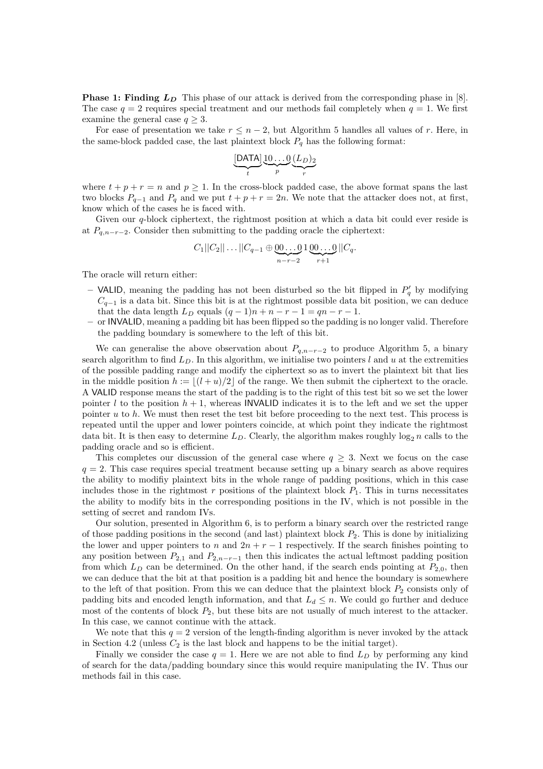**Phase 1: Finding**  $L<sub>D</sub>$  This phase of our attack is derived from the corresponding phase in [8]. The case  $q = 2$  requires special treatment and our methods fail completely when  $q = 1$ . We first examine the general case  $q \geq 3$ .

For ease of presentation we take  $r \leq n-2$ , but Algorithm 5 handles all values of r. Here, in the same-block padded case, the last plaintext block  $P_q$  has the following format:

$$
\underbrace{[\mathsf{DATA}]\underbrace{10\ldots0}_{p}(\underline{L}_D)_2}_{r}
$$

where  $t + p + r = n$  and  $p \ge 1$ . In the cross-block padded case, the above format spans the last two blocks  $P_{q-1}$  and  $P_q$  and we put  $t + p + r = 2n$ . We note that the attacker does not, at first, know which of the cases he is faced with.

Given our  $q$ -block ciphertext, the rightmost position at which a data bit could ever reside is at  $P_{q,n-r-2}$ . Consider then submitting to the padding oracle the ciphertext:

$$
C_1||C_2||\ldots||C_{q-1}\oplus \underbrace{00\ldots 0}_{n-r-2}1\underbrace{00\ldots 0}_{r+1}||C_q.
$$

The oracle will return either:

- VALID, meaning the padding has not been disturbed so the bit flipped in  $P'_q$  by modifying  $C_{q-1}$  is a data bit. Since this bit is at the rightmost possible data bit position, we can deduce that the data length  $L_D$  equals  $(q-1)n + n - r - 1 = qn - r - 1$ .
- or INVALID, meaning a padding bit has been flipped so the padding is no longer valid. Therefore the padding boundary is somewhere to the left of this bit.

We can generalise the above observation about  $P_{q,n-r-2}$  to produce Algorithm 5, a binary search algorithm to find  $L<sub>D</sub>$ . In this algorithm, we initialise two pointers l and u at the extremities of the possible padding range and modify the ciphertext so as to invert the plaintext bit that lies in the middle position  $h := |(l + u)/2|$  of the range. We then submit the ciphertext to the oracle. A VALID response means the start of the padding is to the right of this test bit so we set the lower pointer l to the position  $h + 1$ , whereas INVALID indicates it is to the left and we set the upper pointer u to h. We must then reset the test bit before proceeding to the next test. This process is repeated until the upper and lower pointers coincide, at which point they indicate the rightmost data bit. It is then easy to determine  $L<sub>D</sub>$ . Clearly, the algorithm makes roughly  $\log_2 n$  calls to the padding oracle and so is efficient.

This completes our discussion of the general case where  $q \geq 3$ . Next we focus on the case  $q = 2$ . This case requires special treatment because setting up a binary search as above requires the ability to modifiy plaintext bits in the whole range of padding positions, which in this case includes those in the rightmost  $r$  positions of the plaintext block  $P_1$ . This in turns necessitates the ability to modify bits in the corresponding positions in the IV, which is not possible in the setting of secret and random IVs.

Our solution, presented in Algorithm 6, is to perform a binary search over the restricted range of those padding positions in the second (and last) plaintext block  $P_2$ . This is done by initializing the lower and upper pointers to n and  $2n + r - 1$  respectively. If the search finishes pointing to any position between  $P_{2,1}$  and  $P_{2,n-r-1}$  then this indicates the actual leftmost padding position from which  $L_D$  can be determined. On the other hand, if the search ends pointing at  $P_{2,0}$ , then we can deduce that the bit at that position is a padding bit and hence the boundary is somewhere to the left of that position. From this we can deduce that the plaintext block  $P_2$  consists only of padding bits and encoded length information, and that  $L_d \leq n$ . We could go further and deduce most of the contents of block  $P_2$ , but these bits are not usually of much interest to the attacker. In this case, we cannot continue with the attack.

We note that this  $q = 2$  version of the length-finding algorithm is never invoked by the attack in Section 4.2 (unless  $C_2$  is the last block and happens to be the initial target).

Finally we consider the case  $q = 1$ . Here we are not able to find  $L<sub>D</sub>$  by performing any kind of search for the data/padding boundary since this would require manipulating the IV. Thus our methods fail in this case.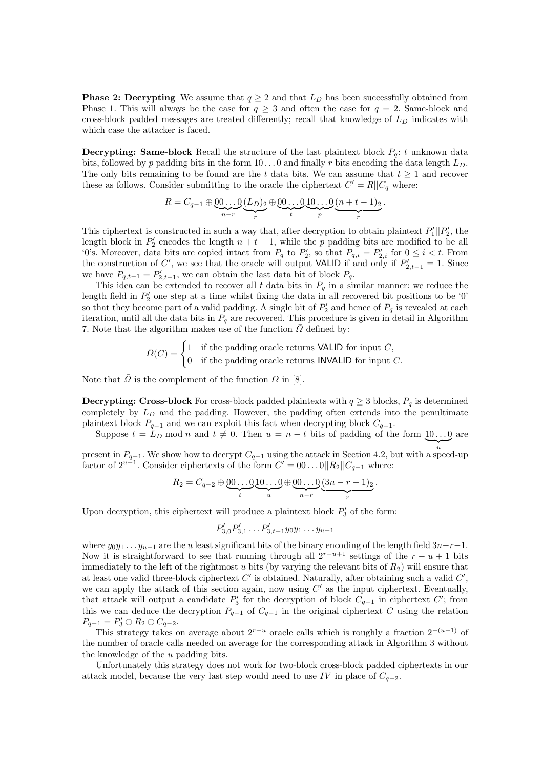**Phase 2: Decrypting** We assume that  $q \geq 2$  and that  $L<sub>D</sub>$  has been successfully obtained from Phase 1. This will always be the case for  $q \geq 3$  and often the case for  $q = 2$ . Same-block and cross-block padded messages are treated differently; recall that knowledge of  $L<sub>D</sub>$  indicates with which case the attacker is faced.

**Decrypting: Same-block** Recall the structure of the last plaintext block  $P_q$ : t unknown data bits, followed by p padding bits in the form  $10...0$  and finally r bits encoding the data length  $L<sub>D</sub>$ . The only bits remaining to be found are the t data bits. We can assume that  $t \geq 1$  and recover these as follows. Consider submitting to the oracle the ciphertext  $C' = R||C_q$  where:

$$
R = C_{q-1} \oplus \underbrace{00\ldots 0}_{n-r} \underbrace{(L_D)_2}_{r} \oplus \underbrace{00\ldots 0}_{t} \underbrace{10\ldots 0}_{p} \underbrace{(n+t-1)_2}_{r}.
$$

This ciphertext is constructed in such a way that, after decryption to obtain plaintext  $P'_1||P'_2$ , the length block in  $P'_2$  encodes the length  $n + t - 1$ , while the p padding bits are modified to be all '0's. Moreover, data bits are copied intact from  $P_q$  to  $P'_2$ , so that  $P_{q,i} = P'_{2,i}$  for  $0 \le i < t$ . From the construction of C', we see that the oracle will output VALID if and only if  $P'_{2,t-1} = 1$ . Since we have  $P_{q,t-1} = P'_{2,t-1}$ , we can obtain the last data bit of block  $P_q$ .

This idea can be extended to recover all t data bits in  $P_q$  in a similar manner: we reduce the length field in  $P'_2$  one step at a time whilst fixing the data in all recovered bit positions to be '0' so that they become part of a valid padding. A single bit of  $P'_2$  and hence of  $P_q$  is revealed at each iteration, until all the data bits in  $P_q$  are recovered. This procedure is given in detail in Algorithm 7. Note that the algorithm makes use of the function  $\overline{\Omega}$  defined by:

$$
\bar{\Omega}(C) = \begin{cases} 1 & \text{if the padding oracle returns VALID for input } C, \\ 0 & \text{if the padding oracle returns INVALID for input } C. \end{cases}
$$

Note that  $\overline{\Omega}$  is the complement of the function  $\Omega$  in [8].

**Decrypting: Cross-block** For cross-block padded plaintexts with  $q \geq 3$  blocks,  $P_q$  is determined completely by  $L_D$  and the padding. However, the padding often extends into the penultimate plaintext block  $P_{q-1}$  and we can exploit this fact when decrypting block  $C_{q-1}$ .

Suppose  $t = L_D \mod n$  and  $t \neq 0$ . Then  $u = n - t$  bits of padding of the form  $\underline{10...0}$  are

present in  $P_{q-1}$ . We show how to decrypt  $C_{q-1}$  using the attack in Section 4.2, but with a speed-up factor of  $2^{u-1}$ . Consider ciphertexts of the form  $C' = 00...0||R_2||C_{q-1}$  where:

$$
R_2 = C_{q-2} \oplus \underbrace{00\ldots 0}_{t} \underbrace{10\ldots 0}_{u} \oplus \underbrace{00\ldots 0}_{n-r} \underbrace{(3n-r-1)_2}_{r}.
$$

Upon decryption, this ciphertext will produce a plaintext block  $P'_3$  of the form:

$$
P'_{3,0}P'_{3,1}\ldots P'_{3,t-1}y_0y_1\ldots y_{u-1}
$$

where  $y_0y_1 \ldots y_{u-1}$  are the u least significant bits of the binary encoding of the length field  $3n-r-1$ . Now it is straightforward to see that running through all  $2^{r-u+1}$  settings of the  $r-u+1$  bits immediately to the left of the rightmost u bits (by varying the relevant bits of  $R_2$ ) will ensure that at least one valid three-block ciphertext  $C'$  is obtained. Naturally, after obtaining such a valid  $C'$ , we can apply the attack of this section again, now using  $C'$  as the input ciphertext. Eventually, that attack will output a candidate  $P'_3$  for the decryption of block  $C_{q-1}$  in ciphertext  $C'$ ; from this we can deduce the decryption  $P_{q-1}$  of  $C_{q-1}$  in the original ciphertext C using the relation  $P_{q-1} = P_3' \oplus R_2 \oplus C_{q-2}.$ 

This strategy takes on average about  $2^{r-u}$  oracle calls which is roughly a fraction  $2^{-(u-1)}$  of the number of oracle calls needed on average for the corresponding attack in Algorithm 3 without the knowledge of the  $u$  padding bits.

Unfortunately this strategy does not work for two-block cross-block padded ciphertexts in our attack model, because the very last step would need to use IV in place of  $C_{q-2}$ .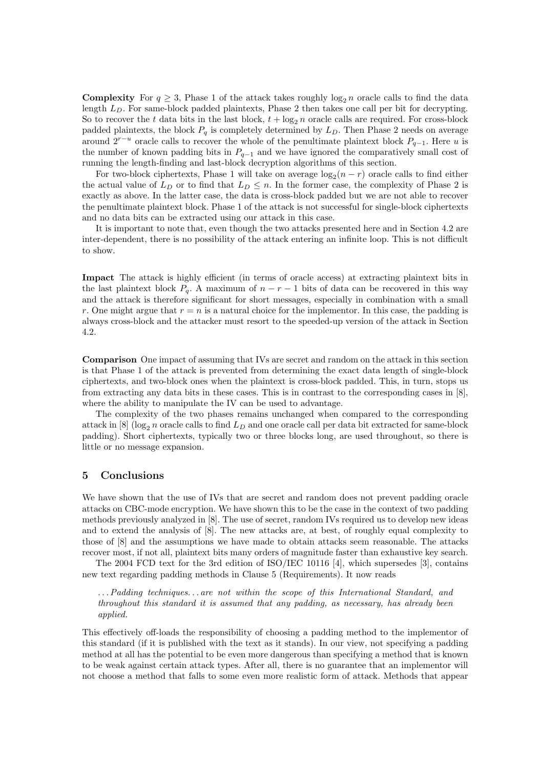**Complexity** For  $q \geq 3$ , Phase 1 of the attack takes roughly  $\log_2 n$  oracle calls to find the data length  $L<sub>D</sub>$ . For same-block padded plaintexts, Phase 2 then takes one call per bit for decrypting. So to recover the t data bits in the last block,  $t + \log_2 n$  oracle calls are required. For cross-block padded plaintexts, the block  $P_q$  is completely determined by  $L_p$ . Then Phase 2 needs on average around  $2^{r-u}$  oracle calls to recover the whole of the penultimate plaintext block  $P_{q-1}$ . Here u is the number of known padding bits in  $P_{q-1}$  and we have ignored the comparatively small cost of running the length-finding and last-block decryption algorithms of this section.

For two-block ciphertexts, Phase 1 will take on average  $\log_2(n-r)$  oracle calls to find either the actual value of  $L_D$  or to find that  $L_D \leq n$ . In the former case, the complexity of Phase 2 is exactly as above. In the latter case, the data is cross-block padded but we are not able to recover the penultimate plaintext block. Phase 1 of the attack is not successful for single-block ciphertexts and no data bits can be extracted using our attack in this case.

It is important to note that, even though the two attacks presented here and in Section 4.2 are inter-dependent, there is no possibility of the attack entering an infinite loop. This is not difficult to show.

Impact The attack is highly efficient (in terms of oracle access) at extracting plaintext bits in the last plaintext block  $P_q$ . A maximum of  $n - r - 1$  bits of data can be recovered in this way and the attack is therefore significant for short messages, especially in combination with a small r. One might argue that  $r = n$  is a natural choice for the implementor. In this case, the padding is always cross-block and the attacker must resort to the speeded-up version of the attack in Section 4.2.

Comparison One impact of assuming that IVs are secret and random on the attack in this section is that Phase 1 of the attack is prevented from determining the exact data length of single-block ciphertexts, and two-block ones when the plaintext is cross-block padded. This, in turn, stops us from extracting any data bits in these cases. This is in contrast to the corresponding cases in [8], where the ability to manipulate the IV can be used to advantage.

The complexity of the two phases remains unchanged when compared to the corresponding attack in [8] (log<sub>2</sub> n oracle calls to find  $L_D$  and one oracle call per data bit extracted for same-block padding). Short ciphertexts, typically two or three blocks long, are used throughout, so there is little or no message expansion.

# 5 Conclusions

We have shown that the use of IVs that are secret and random does not prevent padding oracle attacks on CBC-mode encryption. We have shown this to be the case in the context of two padding methods previously analyzed in [8]. The use of secret, random IVs required us to develop new ideas and to extend the analysis of [8]. The new attacks are, at best, of roughly equal complexity to those of [8] and the assumptions we have made to obtain attacks seem reasonable. The attacks recover most, if not all, plaintext bits many orders of magnitude faster than exhaustive key search.

The 2004 FCD text for the 3rd edition of ISO/IEC 10116 [4], which supersedes [3], contains new text regarding padding methods in Clause 5 (Requirements). It now reads

. . . Padding techniques. . . are not within the scope of this International Standard, and throughout this standard it is assumed that any padding, as necessary, has already been applied.

This effectively off-loads the responsibility of choosing a padding method to the implementor of this standard (if it is published with the text as it stands). In our view, not specifying a padding method at all has the potential to be even more dangerous than specifying a method that is known to be weak against certain attack types. After all, there is no guarantee that an implementor will not choose a method that falls to some even more realistic form of attack. Methods that appear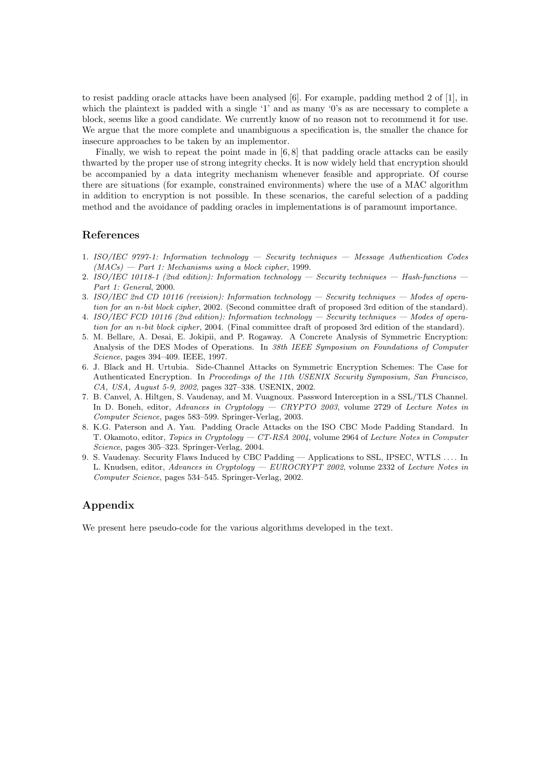to resist padding oracle attacks have been analysed [6]. For example, padding method 2 of [1], in which the plaintext is padded with a single '1' and as many '0's as are necessary to complete a block, seems like a good candidate. We currently know of no reason not to recommend it for use. We argue that the more complete and unambiguous a specification is, the smaller the chance for insecure approaches to be taken by an implementor.

Finally, we wish to repeat the point made in  $[6, 8]$  that padding oracle attacks can be easily thwarted by the proper use of strong integrity checks. It is now widely held that encryption should be accompanied by a data integrity mechanism whenever feasible and appropriate. Of course there are situations (for example, constrained environments) where the use of a MAC algorithm in addition to encryption is not possible. In these scenarios, the careful selection of a padding method and the avoidance of padding oracles in implementations is of paramount importance.

### References

- 1. ISO/IEC 9797-1: Information technology Security techniques Message Authentication Codes  $(MACs)$  — Part 1: Mechanisms using a block cipher, 1999.
- 2. ISO/IEC 10118-1 (2nd edition): Information technology Security techniques Hash-functions Part 1: General, 2000.
- 3. ISO/IEC 2nd CD 10116 (revision): Information technology Security techniques Modes of operation for an n-bit block cipher, 2002. (Second committee draft of proposed 3rd edition of the standard).
- 4. ISO/IEC FCD 10116 (2nd edition): Information technology Security techniques Modes of operation for an n-bit block cipher, 2004. (Final committee draft of proposed 3rd edition of the standard).
- 5. M. Bellare, A. Desai, E. Jokipii, and P. Rogaway. A Concrete Analysis of Symmetric Encryption: Analysis of the DES Modes of Operations. In 38th IEEE Symposium on Foundations of Computer Science, pages 394–409. IEEE, 1997.
- 6. J. Black and H. Urtubia. Side-Channel Attacks on Symmetric Encryption Schemes: The Case for Authenticated Encryption. In Proceedings of the 11th USENIX Security Symposium, San Francisco, CA, USA, August 5-9, 2002, pages 327–338. USENIX, 2002.
- 7. B. Canvel, A. Hiltgen, S. Vaudenay, and M. Vuagnoux. Password Interception in a SSL/TLS Channel. In D. Boneh, editor, Advances in Cryptology — CRYPTO 2003, volume 2729 of Lecture Notes in Computer Science, pages 583–599. Springer-Verlag, 2003.
- 8. K.G. Paterson and A. Yau. Padding Oracle Attacks on the ISO CBC Mode Padding Standard. In T. Okamoto, editor, Topics in Cryptology — CT-RSA 2004, volume 2964 of Lecture Notes in Computer Science, pages 305–323. Springer-Verlag, 2004.
- 9. S. Vaudenay. Security Flaws Induced by CBC Padding Applications to SSL, IPSEC, WTLS . . . . In L. Knudsen, editor, Advances in Cryptology — EUROCRYPT 2002, volume 2332 of Lecture Notes in Computer Science, pages 534–545. Springer-Verlag, 2002.

# Appendix

We present here pseudo-code for the various algorithms developed in the text.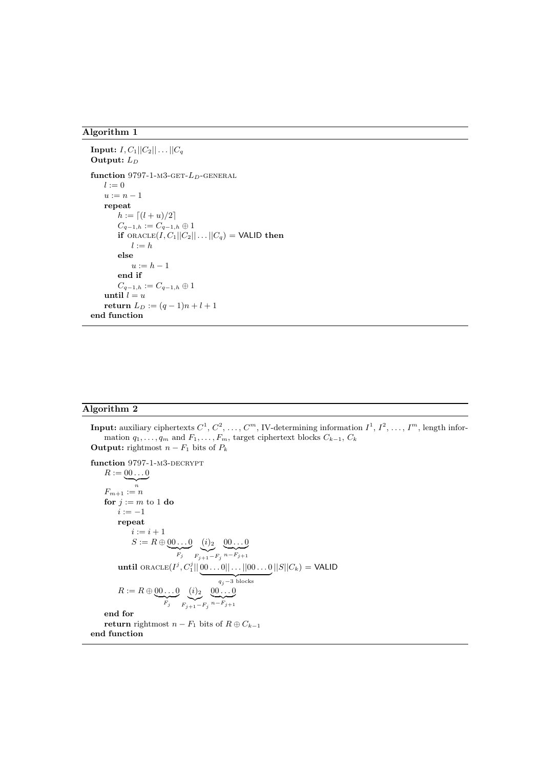```
Input: I, C_1 || C_2 || \ldots || C_qOutput: L_Dfunction 9797-1-M3-GET-L_D-GENERAL
   l := 0u := n - 1repeat
       h := \lceil (l + u)/2 \rceilC_{q-1,h}:=C_{q-1,h}\oplus 1if ORACLE(I, C_1||C_2||...||C_q) = VALID then
           l := helse
           u := h - 1end if
       C_{q-1,h} := C_{q-1,h} \oplus 1until l = ureturn L_D := (q-1)n + l + 1end function
```
# Algorithm 2

**Input:** auxiliary ciphertexts  $C^1, C^2, \ldots, C^m$ , IV-determining information  $I^1, I^2, \ldots, I^m$ , length information  $q_1, \ldots, q_m$  and  $F_1, \ldots, F_m$ , target ciphertext blocks  $C_{k-1}, C_k$ **Output:** rightmost  $n - F_1$  bits of  $P_k$ 

function 9797-1-M3-DECRYPT  $R := \underbrace{00 \dots 0}_{\sim}$ n  $\mathcal{F}_{m+1} := n$ for  $j := m$  to 1 do  $i := -1$ repeat  $i := i + 1$  $S := R \oplus \underbrace{00 \dots 0}$  $F_j$  $\overset{(i)_{2}}{\smile}$  $F_{j+1}-F_j$  $\underbrace{00...0}$  $n-F_{j+1}$ until oracle(I j , C<sup>j</sup> 1 || 00 . . . 0|| . . . ||00 . . . 0 | {z }  $q_j-3$  blocks  $||S||C_k) =$  VALID  $R := R \oplus \underbrace{00 \dots 0}$  $F_j$  $\overset{(i)_{2}}{\smile}$  $F_{j+1}-F_j$  $\underbrace{00\ldots0}$  $n-F_{j+1}$ end for return rightmost  $n - F_1$  bits of  $R \oplus C_{k-1}$ end function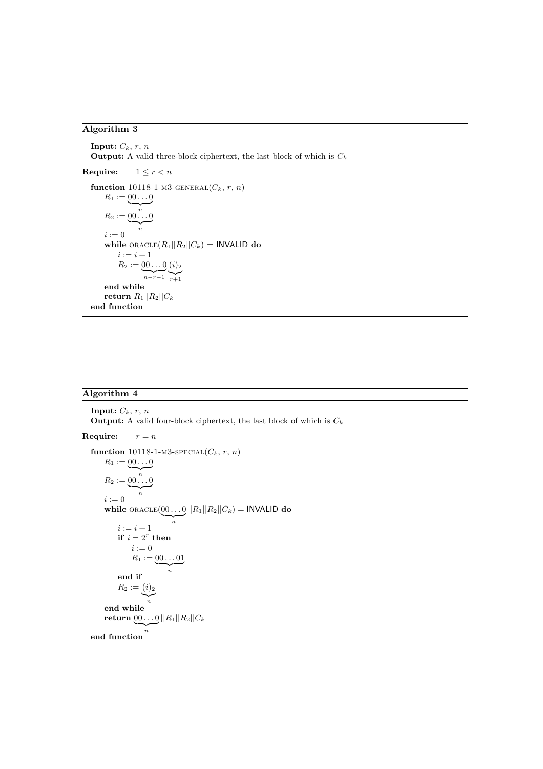Input:  $C_k$ ,  $r$ ,  $n$ **Output:** A valid three-block ciphertext, the last block of which is  $C_k$ **Require:**  $1 \leq r < n$ function 10118-1-M3-GENERAL $(C_k, r, n)$  $R_1 := \underbrace{00 \dots 0}$  $R_2 := \underbrace{00 \dots 0}_{n \dots 0}$ n  $i := 0$ while  $ORACLE(R_1||R_2||C_k) = INVALID$  do  $i := i + 1$  $R_2 := \underbrace{00...0}_{n-r-1}$  $\left(\frac{i}{r+1}\right)$ end while return  $R_1||R_2||C_k$ end function

### Algorithm 4

Input:  $C_k$ ,  $r$ ,  $n$ **Output:** A valid four-block ciphertext, the last block of which is  $C_k$ **Require:**  $r = n$ function 10118-1-m3-special  $(C_k,\,r,\,n)$  $R_1 := \underbrace{00 \dots 0}$ n  $R_2 := \underbrace{00 \dots 0}$ n  $i := 0$ while  $\text{ORACLE}(\underbrace{00\ldots0}_{\ldots}| |R_1| |R_2| |C_k) = \text{INVALID do}$ n  $i := i + 1$ if  $i = 2^r$  then  $i := 0$  $R_1 := \underbrace{00 \dots 01}$ n end if  $R_2 := (i)_2$ n end while  $\textbf{return } \underbrace{00\ldots0}_{\ldots}||R_1||R_2||C_k$ n end function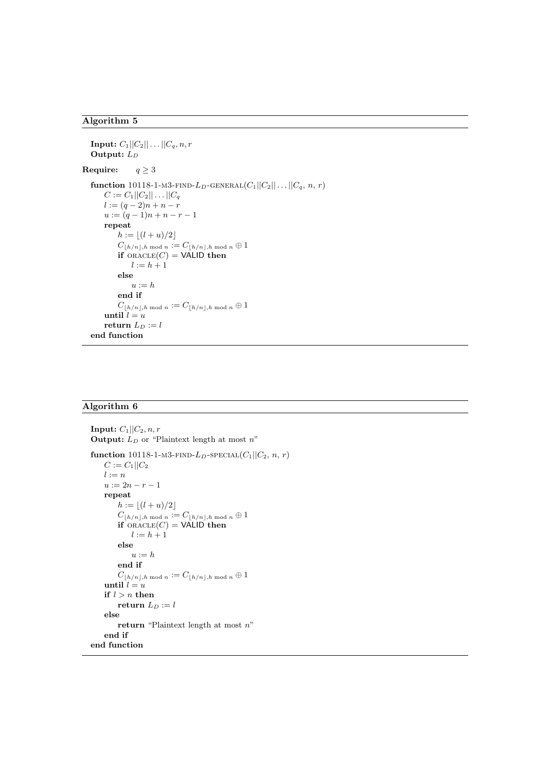```
Input: C_1||C_2|| \dots ||C_q, n, rOutput: L_DRequire: q \geq 3function 10118-1-m3-FIND-L<sub>D</sub>-GENERAL(C_1||C_2|| \dots || C_q, n, r)C := C_1 ||C_2|| \dots ||C_ql := (q - 2)n + n - ru := (q-1)n + n - r - 1repeat
           h := |(l + u)/2|C_{\lfloor h/n \rfloor,h \bmod n} := C_{\lfloor h/n \rfloor,h \bmod n} \oplus 1if ORACLE(C) = VALID then
                l := h + 1else
                u := hend if
           C_{\lfloor h/n \rfloor,h \bmod n} := C_{\lfloor h/n \rfloor,h \bmod n} \oplus 1until l = ureturn L_D := lend function
```
# Algorithm 6

```
Input: C_1||C_2, n, rOutput: L_D or "Plaintext length at most n"
function 10118-1-M3-FIND-L_D-SPECIAL(C_1||C_2, n, r)C := C_1||C_2l := nu := 2n - r - 1repeat
        h := |(l + u)/2|C_{\lfloor h/n\rfloor,h \bmod n} := C_{\lfloor h/n\rfloor,h \bmod n} \oplus 1if ORACLE(C) = VALID then
            l := h + 1else
            u := hend if
        C_{\lfloor h/n \rfloor,h \bmod n} := C_{\lfloor h/n \rfloor,h \bmod n} \oplus 1until l = uif l > n then
        return L_D := lelse
        return "Plaintext length at most n"
    end if
end function
```